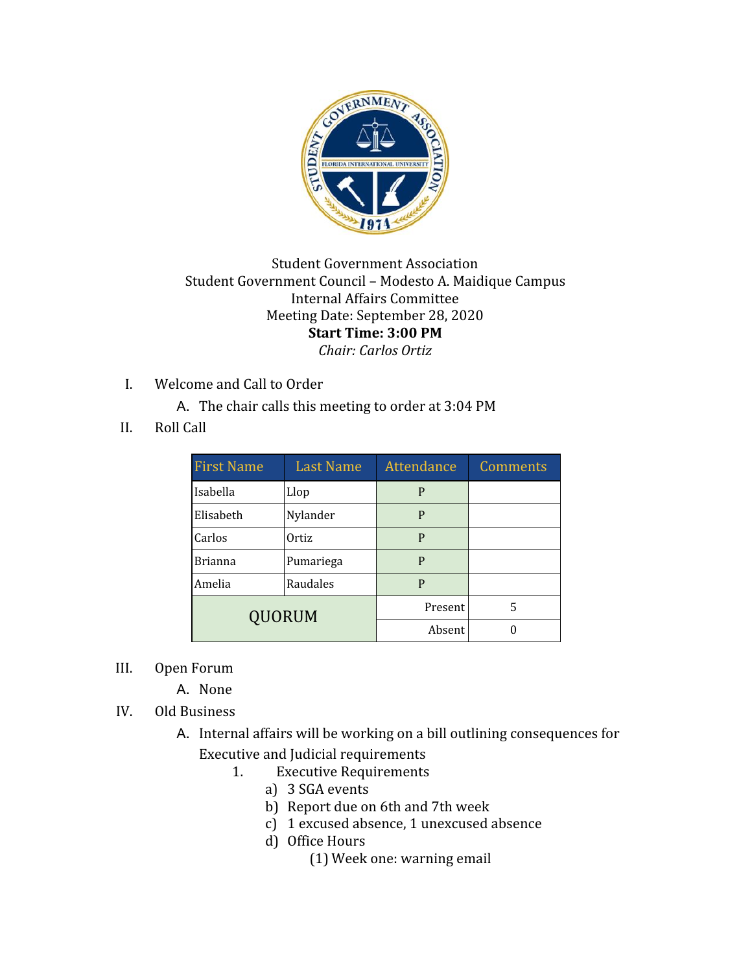

## Student Government Association Student Government Council – Modesto A. Maidique Campus Internal Affairs Committee Meeting Date: September 28, 2020 **Start Time: 3:00 PM** *Chair: Carlos Ortiz*

- I. Welcome and Call to Order
	- A. The chair calls this meeting to order at 3:04 PM
- II. Roll Call

| <b>First Name</b> | <b>Last Name</b> | <b>Attendance</b> | Comments |
|-------------------|------------------|-------------------|----------|
| Isabella          | Llop             | P                 |          |
| Elisabeth         | Nylander         | P                 |          |
| Carlos            | Ortiz            | P                 |          |
| <b>Brianna</b>    | Pumariega        | P                 |          |
| Amelia            | Raudales         | P                 |          |
| QUORUM            |                  | Present           | 5        |
|                   |                  | Absent            |          |

- III. Open Forum
	- A. None
- IV. Old Business
	- A. Internal affairs will be working on a bill outlining consequences for Executive and Judicial requirements
		- 1. Executive Requirements
			- a) 3 SGA events
			- b) Report due on 6th and 7th week
			- c) 1 excused absence, 1 unexcused absence
			- d) Office Hours
				- (1) Week one: warning email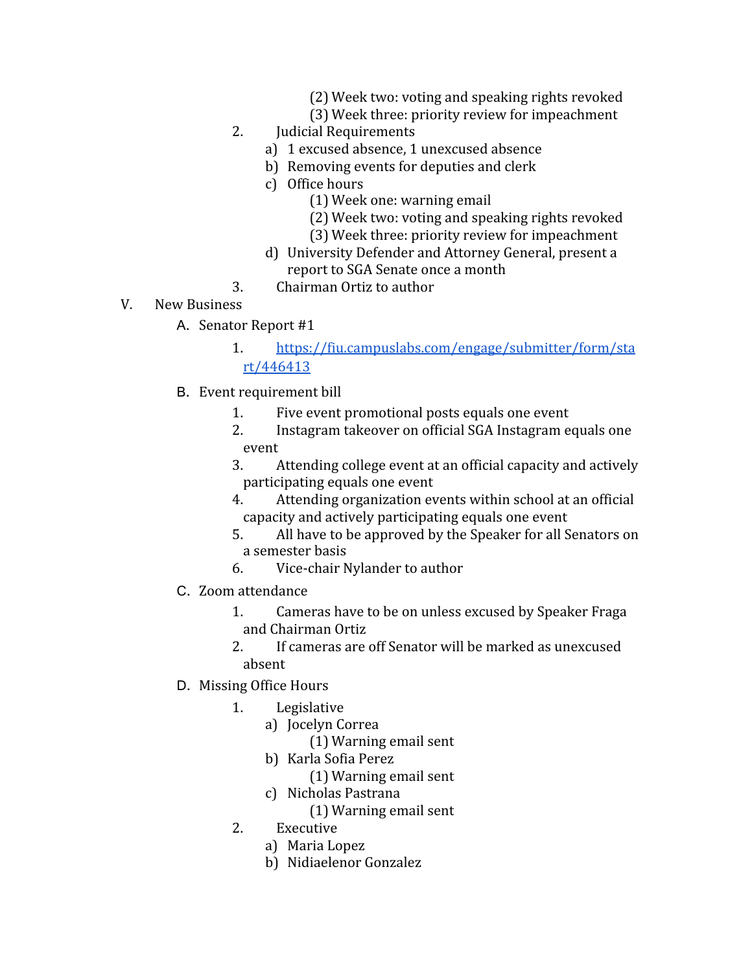- (2) Week two: voting and speaking rights revoked
- (3) Week three: priority review for impeachment
- 2. Judicial Requirements
	- a) 1 excused absence, 1 unexcused absence
	- b) Removing events for deputies and clerk
	- c) Office hours
		- (1) Week one: warning email
		- (2) Week two: voting and speaking rights revoked
		- (3) Week three: priority review for impeachment
	- d) University Defender and Attorney General, present a report to SGA Senate once a month
- 3. Chairman Ortiz to author
- V. New Business
	- A. Senator Report #1
		- 1. [https://fiu.campuslabs.com/engage/submitter/form/sta](https://fiu.campuslabs.com/engage/submitter/form/start/446413) [rt/446413](https://fiu.campuslabs.com/engage/submitter/form/start/446413)
	- B. Event requirement bill
		- 1. Five event promotional posts equals one event
		- 2. Instagram takeover on official SGA Instagram equals one event
		- 3. Attending college event at an official capacity and actively participating equals one event
		- 4. Attending organization events within school at an official capacity and actively participating equals one event
		- 5. All have to be approved by the Speaker for all Senators on a semester basis
		- 6. Vice-chair Nylander to author
	- C. Zoom attendance
		- 1. Cameras have to be on unless excused by Speaker Fraga and Chairman Ortiz
		- 2. If cameras are off Senator will be marked as unexcused absent
	- D. Missing Office Hours
		- 1. Legislative
			- a) Jocelyn Correa
				- (1) Warning email sent
				- b) Karla Sofia Perez
					- (1) Warning email sent
				- c) Nicholas Pastrana
					- (1) Warning email sent
		- 2. Executive
			- a) Maria Lopez
			- b) Nidiaelenor Gonzalez